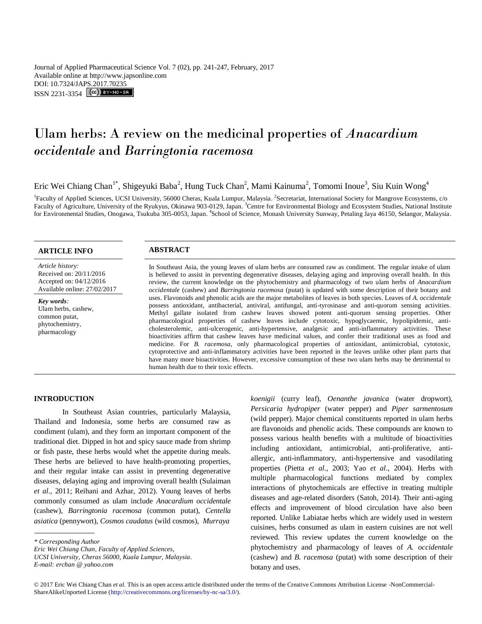Journal of Applied Pharmaceutical Science Vol. 7 (02), pp. 241-247, February, 2017 Available online at http://www.japsonline.com DOI: 10.7324/JA[PS.2017.70235](http://creativecommons.org/licenses/by-nc-sa/3.0/) ISSN 2231-3354 **(cc)** BY-NO-SA

# Ulam herbs: A review on the medicinal properties of *Anacardium occidentale* and *Barringtonia racemosa*

Eric Wei Chiang Chan<sup>1\*</sup>, Shigeyuki Baba<sup>2</sup>, Hung Tuck Chan<sup>2</sup>, Mami Kainuma<sup>2</sup>, Tomomi Inoue<sup>3</sup>, Siu Kuin Wong<sup>4</sup>

<sup>1</sup> Faculty of Applied Sciences, UCSI University, 56000 Cheras, Kuala Lumpur, Malaysia. <sup>2</sup> Secretariat, International Society for Mangrove Ecosystems, c/o Faculty of Agriculture, University of the Ryukyus, Okinawa 903-0129, Japan. <sup>3</sup>Centre for Environmental Biology and Ecosystem Studies, National Institute for Environmental Studies, Onogawa, Tsukuba 305-0053, Japan. <sup>4</sup>School of Science, Monash University Sunway, Petaling Jaya 46150, Selangor, Malaysia.

# **ARTICLE INFO ABSTRACT**

*Article history:* Received on: 20/11/2016 Accepted on: 04/12/2016 Available online: 27/02/2017

*Key words:*  Ulam herbs, cashew, common putat, phytochemistry, pharmacology

In Southeast Asia, the young leaves of ulam herbs are consumed raw as condiment. The regular intake of ulam is believed to assist in preventing degenerative diseases, delaying aging and improving overall health. In this review, the current knowledge on the phytochemistry and pharmacology of two ulam herbs of *Anacardium occidentale* (cashew) and *Barringtonia racemosa* (putat) is updated with some description of their botany and uses. Flavonoids and phenolic acids are the major metabolites of leaves in both species. Leaves of *A. occidentale* possess antioxidant, antibacterial, antiviral, antifungal, anti-tyrosinase and anti-quorum sensing activities. Methyl gallate isolated from cashew leaves showed potent anti-quorum sensing properties. Other pharmacological properties of cashew leaves include cytotoxic, hypoglycaemic, hypolipidemic, anticholesterolemic, anti-ulcerogenic, anti-hypertensive, analgesic and anti-inflammatory activities. These bioactivities affirm that cashew leaves have medicinal values, and confer their traditional uses as food and medicine. For *B. racemosa*, only pharmacological properties of antioxidant, antimicrobial, cytotoxic, cytoprotective and anti-inflammatory activities have been reported in the leaves unlike other plant parts that have many more bioactivities. However, excessive consumption of these two ulam herbs may be detrimental to human health due to their toxic effects.

# **INTRODUCTION**

In Southeast Asian countries, particularly Malaysia, Thailand and Indonesia, some herbs are consumed raw as condiment (ulam), and they form an important component of the traditional diet. Dipped in hot and spicy sauce made from shrimp or fish paste, these herbs would whet the appetite during meals. These herbs are believed to have health-promoting properties, and their regular intake can assist in preventing degenerative diseases, delaying aging and improving overall health (Sulaiman *et al*., 2011; Reihani and Azhar, 2012). Young leaves of herbs commonly consumed as ulam include *Anacardium occidentale* (cashew), *Barringtonia racemosa* (common putat), *Centella asiatica* (pennywort), *Cosmos caudatus* (wild cosmos), *Murraya* 

*Eric Wei Chiang Chan, Faculty of Applied Sciences,* 

*koenigii* (curry leaf), *Oenanthe javanica* (water dropwort), *Persicaria hydropiper* (water pepper) and *Piper sarmentosum* (wild pepper). Major chemical constituents reported in ulam herbs are flavonoids and phenolic acids. These compounds are known to possess various health benefits with a multitude of bioactivities including antioxidant, antimicrobial, anti-proliferative, antiallergic, anti-inflammatory, anti-hypertensive and vasodilating properties (Pietta *et al*., 2003; Yao *et al*., 2004). Herbs with multiple pharmacological functions mediated by complex interactions of phytochemicals are effective in treating multiple diseases and age-related disorders (Satoh, 2014). Their anti-aging effects and improvement of blood circulation have also been reported. Unlike Labiatae herbs which are widely used in western cuisines, herbs consumed as ulam in eastern cuisines are not well reviewed. This review updates the current knowledge on the phytochemistry and pharmacology of leaves of *A. occidentale* (cashew) and *B. racemosa* (putat) with some description of their botany and uses.

*<sup>\*</sup> Corresponding Author*

*UCSI University, Cheras 56000, Kuala Lumpur, Malaysia.*

*E-mail: erchan @ yahoo.com*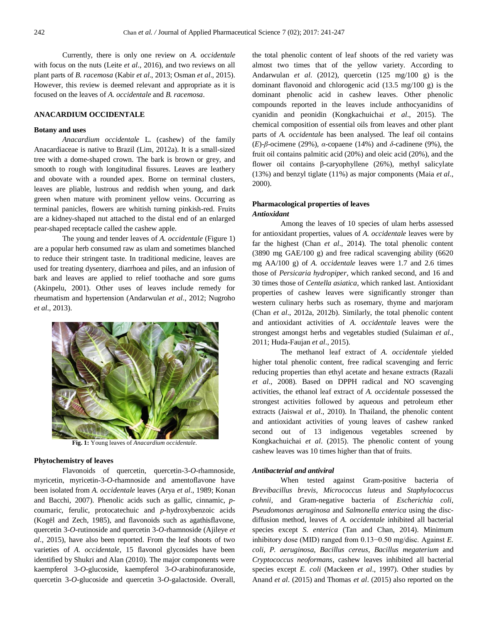Currently, there is only one review on *A. occidentale* with focus on the nuts (Leite *et al*., 2016), and two reviews on all plant parts of *B. racemosa* (Kabir *et al*., 2013; Osman *et al*., 2015). However, this review is deemed relevant and appropriate as it is focused on the leaves of *A. occidentale* and *B. racemosa*.

# **ANACARDIUM OCCIDENTALE**

# **Botany and uses**

*Anacardium occidentale* L. (cashew) of the family Anacardiaceae is native to Brazil (Lim, 2012a). It is a small-sized tree with a dome-shaped crown. The bark is brown or grey, and smooth to rough with longitudinal fissures. Leaves are leathery and obovate with a rounded apex. Borne on terminal clusters, leaves are pliable, lustrous and reddish when young, and dark green when mature with prominent yellow veins. Occurring as terminal panicles, flowers are whitish turning pinkish-red. Fruits are a kidney-shaped nut attached to the distal end of an enlarged pear-shaped receptacle called the cashew apple.

The young and tender leaves of *A. occidentale* (Figure 1) are a popular herb consumed raw as ulam and sometimes blanched to reduce their stringent taste. In traditional medicine, leaves are used for treating dysentery, diarrhoea and piles, and an infusion of bark and leaves are applied to relief toothache and sore gums (Akinpelu, 2001). Other uses of leaves include remedy for rheumatism and hypertension (Andarwulan *et al*., 2012; Nugroho *et al*., 2013).



**Fig. 1:** Young leaves of *Anacardium occidentale.*

# **Phytochemistry of leaves**

Flavonoids of quercetin, quercetin-3-*O*-rhamnoside, myricetin, myricetin-3-*O*-rhamnoside and amentoflavone have been isolated from *A. occidentale* leaves (Arya *et al*., 1989; Konan and Bacchi, 2007). Phenolic acids such as gallic, cinnamic, *p*coumaric, ferulic, protocatechuic and *p*-hydroxybenzoic acids (Kogël and Zech, 1985), and flavonoids such as agathisflavone, quercetin 3-*O*-rutinoside and quercetin 3-*O*-rhamnoside (Ajileye *et al*., 2015), have also been reported. From the leaf shoots of two varieties of *A. occidentale*, 15 flavonol glycosides have been identified by Shukri and Alan (2010). The major components were kaempferol 3-*O*-glucoside, kaempferol 3-*O*-arabinofuranoside, quercetin 3-*O*-glucoside and quercetin 3-*O*-galactoside. Overall, the total phenolic content of leaf shoots of the red variety was almost two times that of the yellow variety. According to Andarwulan *et al*. (2012), quercetin (125 mg/100 g) is the dominant flavonoid and chlorogenic acid (13.5 mg/100 g) is the dominant phenolic acid in cashew leaves. Other phenolic compounds reported in the leaves include anthocyanidins of cyanidin and peonidin (Kongkachuichai *et al*., 2015). The chemical composition of essential oils from leaves and other plant parts of *A. occidentale* has been analysed. The leaf oil contains (*E*)-*β*-ocimene (29%), *α*-copaene (14%) and *δ*-cadinene (9%), the fruit oil contains palmitic acid (20%) and oleic acid (20%), and the flower oil contains β-caryophyllene (26%), methyl salicylate (13%) and benzyl tiglate (11%) as major components (Maia *et al*., 2000).

# **Pharmacological properties of leaves** *Antioxidant*

Among the leaves of 10 species of ulam herbs assessed for antioxidant properties, values of *A. occidentale* leaves were by far the highest (Chan *et al*., 2014). The total phenolic content (3890 mg GAE/100 g) and free radical scavenging ability (6620 mg AA/100 g) of *A. occidentale* leaves were 1.7 and 2.6 times those of *Persicaria hydropiper*, which ranked second, and 16 and 30 times those of *Centella asiatica*, which ranked last. Antioxidant properties of cashew leaves were significantly stronger than western culinary herbs such as rosemary, thyme and marjoram (Chan *et al*., 2012a, 2012b). Similarly, the total phenolic content and antioxidant activities of *A. occidentale* leaves were the strongest amongst herbs and vegetables studied (Sulaiman *et al*., 2011; Huda-Faujan *et al*., 2015).

The methanol leaf extract of *A. occidentale* yielded higher total phenolic content, free radical scavenging and ferric reducing properties than ethyl acetate and hexane extracts (Razali *et al*., 2008). Based on DPPH radical and NO scavenging activities, the ethanol leaf extract of *A. occidentale* possessed the strongest activities followed by aqueous and petroleum ether extracts (Jaiswal *et al*., 2010). In Thailand, the phenolic content and antioxidant activities of young leaves of cashew ranked second out of 13 indigenous vegetables screened by Kongkachuichai *et al*. (2015). The phenolic content of young cashew leaves was 10 times higher than that of fruits.

#### *Antibacterial and antiviral*

When tested against Gram-positive bacteria of *Brevibacillus brevis*, *Micrococcus luteus* and *Staphylococcus cohnii*, and Gram-negative bacteria of *Escherichia coli*, *Pseudomonas aeruginosa* and *Salmonella enterica* using the discdiffusion method, leaves of *A. occidentale* inhibited all bacterial species except *S. enterica* (Tan and Chan, 2014). Minimum inhibitory dose (MID) ranged from 0.13−0.50 mg/disc. Against *E. coli*, *P. aeruginosa*, *Bacillus cereus*, *Bacillus megaterium* and *Cryptococcus neoformans*, cashew leaves inhibited all bacterial species except *E. coli* (Mackeen *et al*., 1997). Other studies by [Anand](http://www.jpbsonline.org/searchresult.asp?search=&author=Geethashri+Anand&journal=Y&but_search=Search&entries=10&pg=1&s=0) *et al*. (2015) and Thomas *et al*. (2015) also reported on the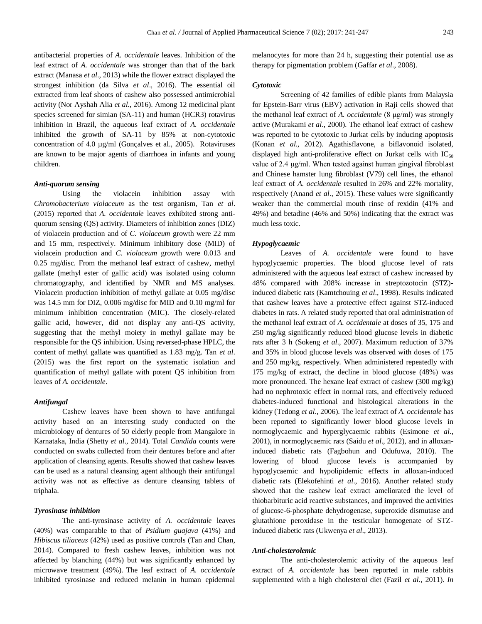antibacterial properties of *A. occidentale* leaves. Inhibition of the leaf extract of *A. occidentale* was stronger than that of the bark extract (Manasa *et al*., 2013) while the flower extract displayed the strongest inhibition (da Silva *et al*., 2016). The essential oil extracted from leaf shoots of cashew also possessed antimicrobial activity (Nor Ayshah Alia *et al*., 2016). Among 12 medicinal plant species screened for simian (SA-11) and human (HCR3) rotavirus inhibition in Brazil, the aqueous leaf extract of *A. occidentale* inhibited the growth of SA-11 by 85% at non-cytotoxic concentration of 4.0 µg/ml (Gonçalves et al., 2005). Rotaviruses are known to be major agents of diarrhoea in infants and young children.

#### *Anti-quorum sensing*

Using the violacein inhibition assay with *Chromobacterium violaceum* as the test organism, Tan *et al*. (2015) reported that *A. occidentale* leaves exhibited strong antiquorum sensing (QS) activity. Diameters of inhibition zones (DIZ) of violacein production and of *C. violaceum* growth were 22 mm and 15 mm, respectively. Minimum inhibitory dose (MID) of violacein production and *C. violaceum* growth were 0.013 and 0.25 mg/disc. From the methanol leaf extract of cashew, methyl gallate (methyl ester of gallic acid) was isolated using column chromatography, and identified by NMR and MS analyses. Violacein production inhibition of methyl gallate at 0.05 mg/disc was 14.5 mm for DIZ, 0.006 mg/disc for MID and 0.10 mg/ml for minimum inhibition concentration (MIC). The closely-related gallic acid, however, did not display any anti-QS activity, suggesting that the methyl moiety in methyl gallate may be responsible for the QS inhibition. Using reversed-phase HPLC, the content of methyl gallate was quantified as 1.83 mg/g. Tan *et al*. (2015) was the first report on the systematic isolation and quantification of methyl gallate with potent QS inhibition from leaves of *A. occidentale*.

## *Antifungal*

Cashew leaves have been shown to have antifungal activity based on an interesting study conducted on the microbiology of dentures of 50 elderly people from Mangalore in Karnataka, India (Shetty *et al*., 2014). Total *Candida* counts were conducted on swabs collected from their dentures before and after application of cleansing agents. Results showed that cashew leaves can be used as a natural cleansing agent although their antifungal activity was not as effective as denture cleansing tablets of triphala.

# *Tyrosinase inhibition*

The anti-tyrosinase activity of *A. occidentale* leaves (40%) was comparable to that of *Psidium guajava* (41%) and *Hibiscus tiliaceus* (42%) used as positive controls (Tan and Chan, 2014). Compared to fresh cashew leaves, inhibition was not affected by blanching (44%) but was significantly enhanced by microwave treatment (49%). The leaf extract of *A. occidentale* inhibited tyrosinase and reduced melanin in human epidermal melanocytes for more than 24 h, suggesting their potential use as therapy for pigmentation problem (Gaffar *et al*., 2008).

#### *Cytotoxic*

Screening of 42 families of edible plants from Malaysia for Epstein-Barr virus (EBV) activation in Raji cells showed that the methanol leaf extract of *A. occidentale* (8 μg/ml) was strongly active (Murakami *et al*., 2000). The ethanol leaf extract of cashew was reported to be cytotoxic to Jurkat cells by inducing apoptosis (Konan *et al*., 2012). Agathisflavone, a biflavonoid isolated, displayed high anti-proliferative effect on Jurkat cells with  $IC_{50}$ value of 2.4 μg/ml. When tested against human gingival fibroblast and Chinese hamster lung fibroblast (V79) cell lines, the ethanol leaf extract of *A. occidentale* resulted in 26% and 22% mortality, respectively (Anand *et al*., 2015). These values were significantly weaker than the commercial mouth rinse of rexidin (41% and 49%) and betadine (46% and 50%) indicating that the extract was much less toxic.

# *Hypoglycaemic*

Leaves of *A. occidentale* were found to have hypoglycaemic properties. The blood glucose level of rats administered with the aqueous leaf extract of cashew increased by 48% compared with 208% increase in streptozotocin (STZ) induced diabetic rats (Kamtchouing *et al*., 1998). Results indicated that cashew leaves have a protective effect against STZ-induced diabetes in rats. A related study reported that oral administration of the methanol leaf extract of *A. occidentale* at doses of 35, 175 and 250 mg/kg significantly reduced blood glucose levels in diabetic rats after 3 h (Sokeng *et al*., 2007). Maximum reduction of 37% and 35% in blood glucose levels was observed with doses of 175 and 250 mg/kg, respectively. When administered repeatedly with 175 mg/kg of extract, the decline in blood glucose (48%) was more pronounced. The hexane leaf extract of cashew (300 mg/kg) had no nephrotoxic effect in normal rats, and effectively reduced diabetes-induced functional and histological alterations in the kidney (Tedong *et al*., 2006). The leaf extract of *A. occidentale* has been reported to significantly lower blood glucose levels in normoglycaemic and hyperglycaemic rabbits (Esimone *et al*., 2001), in normoglycaemic rats (Saidu *et al*., 2012), and in alloxaninduced diabetic rats (Fagbohun and Odufuwa, 2010). The lowering of blood glucose levels is accompanied by hypoglycaemic and hypolipidemic effects in alloxan-induced diabetic rats (Elekofehinti *et al*., 2016). Another related study showed that the cashew leaf extract ameliorated the level of thiobarbituric acid reactive substances, and improved the activities of glucose-6-phosphate dehydrogenase, superoxide dismutase and glutathione peroxidase in the testicular homogenate of STZinduced diabetic rats (Ukwenya *et al*., 2013).

# *Anti-cholesterolemic*

The anti-cholesterolemic activity of the aqueous leaf extract of *A. occidentale* has been reported in male rabbits supplemented with a high cholesterol diet (Fazil *et al*., 2011). *In*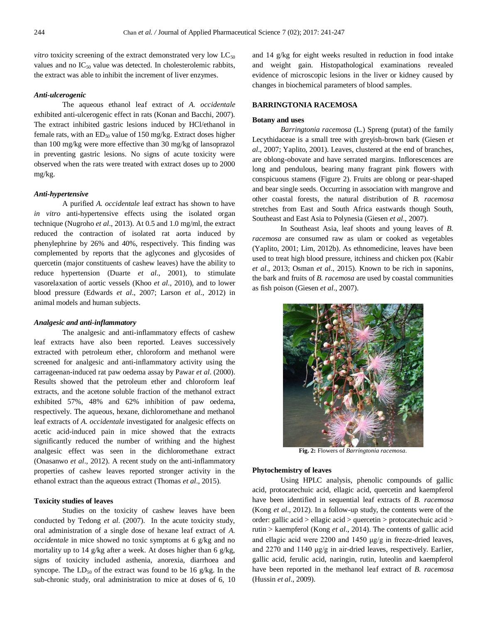*vitro* toxicity screening of the extract demonstrated very low  $LC_{50}$ values and no  $IC_{50}$  value was detected. In cholesterolemic rabbits, the extract was able to inhibit the increment of liver enzymes.

# *Anti-ulcerogenic*

The aqueous ethanol leaf extract of *A. occidentale* exhibited anti-ulcerogenic effect in rats (Konan and Bacchi, 2007). The extract inhibited gastric lesions induced by HCl/ethanol in female rats, with an  $ED_{50}$  value of 150 mg/kg. Extract doses higher than 100 mg/kg were more effective than 30 mg/kg of lansoprazol in preventing gastric lesions. No signs of acute toxicity were observed when the rats were treated with extract doses up to 2000 mg/kg.

# *Anti-hypertensive*

A purified *A. occidentale* leaf extract has shown to have *in vitro* anti-hypertensive effects using the isolated organ technique (Nugroho *et al*., 2013). At 0.5 and 1.0 mg/ml, the extract reduced the contraction of isolated rat aorta induced by phenylephrine by 26% and 40%, respectively. This finding was complemented by reports that the aglycones and glycosides of quercetin (major constituents of cashew leaves) have the ability to reduce hypertension (Duarte *et al*., 2001), to stimulate vasorelaxation of aortic vessels (Khoo *et al*., 2010), and to lower blood pressure (Edwards *et al*., 2007; Larson *et al*., 2012) in animal models and human subjects.

#### *Analgesic and anti-inflammatory*

The analgesic and anti-inflammatory effects of cashew leaf extracts have also been reported. Leaves successively extracted with petroleum ether, chloroform and methanol were screened for analgesic and anti-inflammatory activity using the carrageenan-induced rat paw oedema assay by Pawar *et al*. (2000). Results showed that the petroleum ether and chloroform leaf extracts, and the acetone soluble fraction of the methanol extract exhibited 57%, 48% and 62% inhibition of paw oedema, respectively. The aqueous, hexane, dichloromethane and methanol leaf extracts of *A. occidentale* investigated for analgesic effects on acetic acid-induced pain in mice showed that the extracts significantly reduced the number of writhing and the highest analgesic effect was seen in the dichloromethane extract (Onasanwo *et al*., 2012). A recent study on the anti-inflammatory properties of cashew leaves reported stronger activity in the ethanol extract than the aqueous extract (Thomas *et al*., 2015).

#### **Toxicity studies of leaves**

Studies on the toxicity of cashew leaves have been conducted by Tedong *et al*. (2007). In the acute toxicity study, oral administration of a single dose of hexane leaf extract of *A. occidentale* in mice showed no toxic symptoms at 6 g/kg and no mortality up to 14 g/kg after a week. At doses higher than 6 g/kg, signs of toxicity included asthenia, anorexia, diarrhoea and syncope. The  $LD_{50}$  of the extract was found to be 16 g/kg. In the sub-chronic study, oral administration to mice at doses of 6, 10 and 14 g/kg for eight weeks resulted in reduction in food intake and weight gain. Histopathological examinations revealed evidence of microscopic lesions in the liver or kidney caused by changes in biochemical parameters of blood samples.

# **BARRINGTONIA RACEMOSA**

#### **Botany and uses**

*Barringtonia racemosa* (L.) Spreng (putat) of the family Lecythidaceae is a small tree with greyish-brown bark (Giesen *et al*., 2007; Yaplito, 2001). Leaves, clustered at the end of branches, are oblong-obovate and have serrated margins. Inflorescences are long and pendulous, bearing many fragrant pink flowers with conspicuous stamens (Figure 2). Fruits are oblong or pear-shaped and bear single seeds. Occurring in association with mangrove and other coastal forests, the natural distribution of *B. racemosa* stretches from East and South Africa eastwards though South, Southeast and East Asia to Polynesia (Giesen *et al*., 2007).

In Southeast Asia, leaf shoots and young leaves of *B. racemosa* are consumed raw as ulam or cooked as vegetables (Yaplito, 2001; Lim, 2012b). As ethnomedicine, leaves have been used to treat high blood pressure, itchiness and chicken pox (Kabir *et al*., 2013; Osman *et al*., 2015). Known to be rich in saponins, the bark and fruits of *B. racemosa* are used by coastal communities as fish poison (Giesen *et al*., 2007).



**Fig. 2:** Flowers of *Barringtonia racemosa.*

#### **Phytochemistry of leaves**

Using HPLC analysis, phenolic compounds of gallic acid, protocatechuic acid, ellagic acid, quercetin and kaempferol have been identified in sequential leaf extracts of *B. racemosa* (Kong *et al*., 2012). In a follow-up study, the contents were of the order: gallic acid > ellagic acid > quercetin > protocatechuic acid > rutin > kaempferol (Kong *et al*., 2014). The contents of gallic acid and ellagic acid were 2200 and 1450 μg/g in freeze-dried leaves, and 2270 and 1140 μg/g in air-dried leaves, respectively. Earlier, gallic acid, ferulic acid, naringin, rutin, luteolin and kaempferol have been reported in the methanol leaf extract of *B. racemosa* (Hussin *et al*., 2009).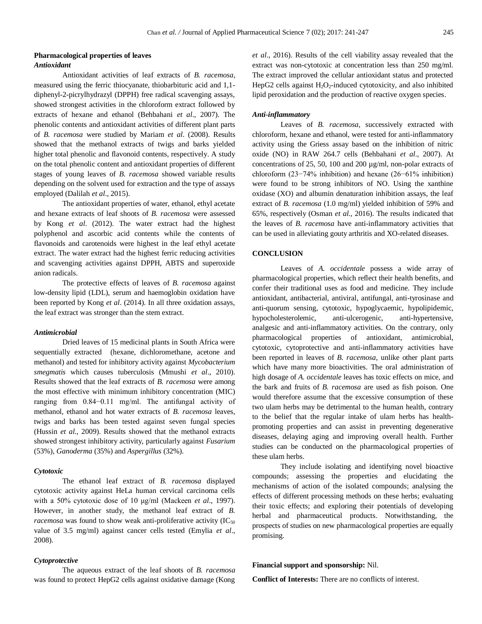Antioxidant activities of leaf extracts of *B. racemosa*, measured using the ferric thiocyanate, thiobarbituric acid and 1,1 diphenyl-2-picrylhydrazyl (DPPH) free radical scavenging assays, showed strongest activities in the chloroform extract followed by extracts of hexane and ethanol (Behbahani *et al*., 2007). The phenolic contents and antioxidant activities of different plant parts of *B. racemosa* were studied by Mariam *et al*. (2008). Results showed that the methanol extracts of twigs and barks yielded higher total phenolic and flavonoid contents, respectively. A study on the total phenolic content and antioxidant properties of different stages of young leaves of *B. racemosa* showed variable results depending on the solvent used for extraction and the type of assays employed (Dalilah *et al*., 2015).

The antioxidant properties of water, ethanol, ethyl acetate and hexane extracts of leaf shoots of *B. racemosa* were assessed by Kong *et al*. (2012). The water extract had the highest polyphenol and ascorbic acid contents while the contents of flavonoids and carotenoids were highest in the leaf ethyl acetate extract. The water extract had the highest ferric reducing activities and scavenging activities against DPPH, ABTS and superoxide anion radicals.

The protective effects of leaves of *B. racemosa* against low-density lipid (LDL), serum and haemoglobin oxidation have been reported by Kong *et al*. (2014). In all three oxidation assays, the leaf extract was stronger than the stem extract.

#### *Antimicrobial*

Dried leaves of 15 medicinal plants in South Africa were sequentially extracted (hexane, dichloromethane, acetone and methanol) and tested for inhibitory activity against *Mycobacterium smegmatis* which causes tuberculosis (Mmushi *et al*., 2010). Results showed that the leaf extracts of *B. racemosa* were among the most effective with minimum inhibitory concentration (MIC) ranging from 0.84−0.11 mg/ml. The antifungal activity of methanol, ethanol and hot water extracts of *B. racemosa* leaves, twigs and barks has been tested against seven fungal species (Hussin *et al.*, 2009). Results showed that the methanol extracts showed strongest inhibitory activity, particularly against *Fusarium* (53%), *Ganoderma* (35%) and *Aspergillus* (32%).

#### *Cytotoxic*

The ethanol leaf extract of *B. racemosa* displayed cytotoxic activity against HeLa human cervical carcinoma cells with a 50% cytotoxic dose of 10 μg/ml (Mackeen *et al*., 1997). However, in another study, the methanol leaf extract of *B. racemosa* was found to show weak anti-proliferative activity  $(IC_{50})$ value of 3.5 mg/ml) against cancer cells tested (Emylia *et al*., 2008).

#### *Cytoprotective*

The aqueous extract of the leaf shoots of *B. racemosa* was found to protect HepG2 cells against oxidative damage (Kong *et al*., 2016). Results of the cell viability assay revealed that the extract was non-cytotoxic at concentration less than 250 mg/ml. The extract improved the cellular antioxidant status and protected HepG2 cells against  $H_2O_2$ -induced cytotoxicity, and also inhibited lipid peroxidation and the production of reactive oxygen species.

# *Anti-inflammatory*

Leaves of *B. racemosa*, successively extracted with chloroform, hexane and ethanol, were tested for anti-inflammatory activity using the Griess assay based on the inhibition of nitric oxide (NO) in RAW 264.7 cells (Behbahani *et al*., 2007). At concentrations of 25, 50, 100 and 200 µg/ml, non-polar extracts of chloroform (23−74% inhibition) and hexane (26−61% inhibition) were found to be strong inhibitors of NO. Using the xanthine oxidase (XO) and albumin denaturation inhibition assays, the leaf extract of *B. racemosa* (1.0 mg/ml) yielded inhibition of 59% and 65%, respectively (Osman *et al*., 2016). The results indicated that the leaves of *B. racemosa* have anti-inflammatory activities that can be used in alleviating gouty arthritis and XO-related diseases.

#### **CONCLUSION**

Leaves of *A. occidentale* possess a wide array of pharmacological properties, which reflect their health benefits, and confer their traditional uses as food and medicine. They include antioxidant, antibacterial, antiviral, antifungal, anti-tyrosinase and anti-quorum sensing, cytotoxic, hypoglycaemic, hypolipidemic, hypocholesterolemic, anti-ulcerogenic, anti-hypertensive, analgesic and anti-inflammatory activities. On the contrary, only pharmacological properties of antioxidant, antimicrobial, cytotoxic, cytoprotective and anti-inflammatory activities have been reported in leaves of *B. racemosa*, unlike other plant parts which have many more bioactivities. The oral administration of high dosage of *A. occidentale* leaves has toxic effects on mice, and the bark and fruits of *B. racemosa* are used as fish poison. One would therefore assume that the excessive consumption of these two ulam herbs may be detrimental to the human health, contrary to the belief that the regular intake of ulam herbs has healthpromoting properties and can assist in preventing degenerative diseases, delaying aging and improving overall health. Further studies can be conducted on the pharmacological properties of these ulam herbs.

They include isolating and identifying novel bioactive compounds; assessing the properties and elucidating the mechanisms of action of the isolated compounds; analysing the effects of different processing methods on these herbs; evaluating their toxic effects; and exploring their potentials of developing herbal and pharmaceutical products. Notwithstanding, the prospects of studies on new pharmacological properties are equally promising.

#### **Financial support and sponsorship:** Nil.

**Conflict of Interests:** There are no conflicts of interest.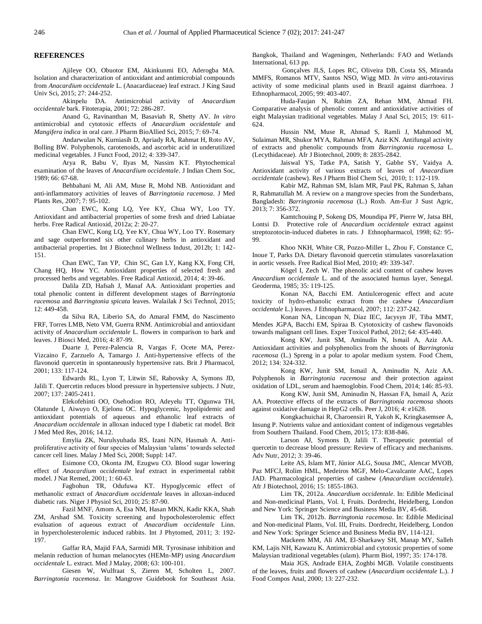#### **REFERENCES**

Ajileye OO, Obuotor EM, Akinkunmi EO, Aderogba MA. Isolation and characterization of antioxidant and antimicrobial compounds from *Anacardium occidentale* L. (Anacardiaceae) leaf extract. J King Saud Univ Sci, 2015; 27: 244-252.

Akinpelu DA. Antimicrobial activity of *Anacardium occidentale* bark. Fitoterapia, 2001; 72: 286-287.

[Anand](http://www.jpbsonline.org/searchresult.asp?search=&author=Geethashri+Anand&journal=Y&but_search=Search&entries=10&pg=1&s=0) G, [Ravinanthan](http://www.jpbsonline.org/searchresult.asp?search=&author=Manikandan+Ravinanthan&journal=Y&but_search=Search&entries=10&pg=1&s=0) M, [Basaviah](http://www.jpbsonline.org/searchresult.asp?search=&author=Ravishankar+Basaviah&journal=Y&but_search=Search&entries=10&pg=1&s=0) R, [Shetty](http://www.jpbsonline.org/searchresult.asp?search=&author=A+Veena+Shetty&journal=Y&but_search=Search&entries=10&pg=1&s=0) AV. *In vitro* antimicrobial and cytotoxic effects of *Anacardium occidentale* and *Mangifera indica* in oral care. J Pharm BioAllied Sci, 2015; 7: 69-74.

Andarwulan N, Kurniasih D, Apriady RA, Rahmat H, Roto AV, Bolling BW. Polyphenols, carotenoids, and ascorbic acid in underutilized medicinal vegetables. J Funct Food, 2012; 4: 339-347.

Arya R, Babu V, Ilyas M, Nassim KT. Phytochemical examination of the leaves of *Anacardium occidentale*. J Indian Chem Soc, 1989; 66: 67-68.

Behbahani M, Ali AM, Muse R, Mohd NB. Antioxidant and anti-inflammatory activities of leaves of *Barringtonia racemosa*. J Med Plants Res, 2007; 7: 95-102.

Chan EWC, Kong LQ, Yee KY, Chua WY, Loo TY. Antioxidant and antibacterial properties of some fresh and dried Labiatae herbs. Free Radical Antioxid, 2012a; 2: 20-27.

Chan EWC, Kong LQ, Yee KY, Chua WY, Loo TY. Rosemary and sage outperformed six other culinary herbs in antioxidant and antibacterial properties. Int J Biotechnol Wellness Indust, 2012b; 1: 142- 151.

Chan EWC, Tan YP, Chin SC, Gan LY, Kang KX, Fong CH, Chang HQ, How YC. Antioxidant properties of selected fresh and processed herbs and vegetables. Free Radical Antioxid, 2014; 4: 39-46.

Dalila ZD, Hafsah J, Manaf AA. Antioxidant properties and total phenolic content in different development stages of *Barringtonia racemosa* and *Barringtonia spicata* leaves. Walailak J Sci Technol, 2015; 12: 449-458.

da Silva RA, Liberio SA, do Amaral FMM, do Nascimento FRF, Torres LMB, Neto VM, Guerra RNM. Antimicrobial and antioxidant activity of *Anacardium occidentale* L. flowers in comparison to bark and leaves. J Biosci Med, 2016; 4: 87-99.

Duarte J, Perez-Palencia R, Vargas F, Ocete MA, Perez-Vizcaino F, Zarzuelo A, Tamargo J. Anti-hypertensive effects of the flavonoid quercetin in spontaneously hypertensive rats. Brit J Pharmacol, 2001; 133: 117-124.

Edwards RL, Lyon T, Litwin SE, Rabovsky A, Symons JD, Jalili T. Quercetin reduces blood pressure in hypertensive subjects. J Nutr, 2007; 137: 2405-2411.

Elekofehinti OO, Osehodion RO, Adeyelu TT, Ogunwa TH, Olatunde I, Aiwuyo O, Ejelonu OC. Hypoglycemic, hypolipidemic and antioxidant potentials of aqueous and ethanolic leaf extracts of *Anacardium occidentale* in alloxan induced type I diabetic rat model. Brit J Med Med Res, 2016; 14.12.

Emylia ZK, Nurulsyuhada RS, Izani NJN, Hasmah A. Antiproliferative activity of four species of Malaysian 'ulams' towards selected cancer cell lines. Malay J Med Sci, 2008; Suppl: 147.

Esimone CO, Okonta JM, Ezugwu CO. Blood sugar lowering effect of *Anacardium occidentale* leaf extract in experimental rabbit model. J Nat Remed, 2001; 1: 60-63.

[Fagbohun TR,](http://www.ncbi.nlm.nih.gov/pubmed/?term=Fagbohun%20TR%5BAuthor%5D&cauthor=true&cauthor_uid=22314909) [Odufuwa KT.](http://www.ncbi.nlm.nih.gov/pubmed/?term=Odufuwa%20KT%5BAuthor%5D&cauthor=true&cauthor_uid=22314909) Hypoglycemic effect of methanolic extract of *Anacardium occidentale* leaves in alloxan-induced diabetic rats[. Niger J Physiol Sci, 2](http://www.ncbi.nlm.nih.gov/pubmed/22314909)010; 25: 87-90.

Fazil MNF, Amom A, Esa NM, Hasan MKN, Kadir KKA, Shah ZM, Arshad SM. Toxicity screening and hypocholesterolemic effect evaluation of aqueous extract of *Anacardium occidentale* Linn. in hypercholesterolemic induced rabbits. Int J Phytomed, 2011; 3: 192- 197.

Gaffar RA, Majid FAA, Sarmidi MR. Tyrosinase inhibition and melanin reduction of human melanocytes (HEMn-MP) using *Anacardium occidentale* L. extract. Med J Malay, 2008; 63: 100-101.

Giesen W, Wulfraat S, Zieren M, Scholten L, 2007. *Barringtonia racemosa*. In: Mangrove Guidebook for Southeast Asia. Bangkok, Thailand and Wageningen, Netherlands: FAO and Wetlands International, 613 pp.

Gonçalves JLS, Lopes RC, Oliveira DB, Costa SS, Miranda MMFS, Romanos MTV, Santos NSO, Wigg MD. *In vitro* anti-rotavirus activity of some medicinal plants used in Brazil against diarrhoea. J Ethnopharmacol, 2005; 99: 403-407.

Huda-Faujan N, Rahim ZA, Rehan MM, Ahmad FH. Comparative analysis of phenolic content and antioxidative activities of eight Malaysian traditional vegetables. Malay J Anal Sci, 2015; 19: 611- 624.

Hussin NM, Muse R, Ahmad S, Ramli J, Mahmood M, Sulaiman MR, Shukor MYA, Rahman MFA, Aziz KN. Antifungal activity of extracts and phenolic compounds from *Barringtonia racemosa* L. (Lecythidaceae). Afr J Biotechnol, 2009; 8: 2835-2842.

Jaiswal YS, Tatke PA, Satish Y, Gabhe SY, Vaidya A. Antioxidant activity of various extracts of leaves of *Anacardium occidentale* (cashew). Res J Pharm Biol Chem Sci, 2010; 1: 112-119.

Kabir MZ, Rahman SM, Islam MR, Paul PK, Rahman S, Jahan R, Rahmatullah M. A review on a mangrove species from the Sunderbans, Bangladesh: *Barringtonia racemosa* (L.) Roxb. Am-Eur J Sust Agric, 2013; 7: 356-372.

Kamtchouing P, Sokeng DS, Moundipa PF, Pierre W, Jatsa BH, Lontsi D. Protective role of *Anacardium occidentale* extract against streptozotocin-induced diabetes in rats. J Ethnopharmacol, 1998; 62: 95- 99.

Khoo NKH, White CR, Pozzo-Miller L, Zhou F, Constance C, Inoue T, Parks DA. Dietary flavonoid quercetin stimulates vasorelaxation in aortic vessels. Free Radical Biol Med, 2010; 49: 339-347.

Kögel I, Zech W. The phenolic acid content of cashew leaves *Anacardium occidentale* L. and of the associated humus layer, Senegal. Geoderma, 1985; 35: 119-125.

Konan NA, Bacchi EM. Antiulcerogenic effect and acute toxicity of hydro-ethanolic extract from the cashew (*Anacardium occidentale* L.) leaves. J Ethnopharmacol, 2007; 112: 237-242.

Konan NA, Lincopan N, Díaz IEC, Jacysyn JF, Tiba MMT, Mendes JGPA, Bacchi EM, Spiraa B. Cytotoxicity of cashew flavonoids towards malignant cell lines. Exper Toxicol Pathol, 2012; 64: 435-440.

Kong KW, Junit SM, Aminudin N, Ismail A, Aziz AA. Antioxidant activities and polyphenolics from the shoots of *Barringtonia racemosa* (L.) Spreng in a polar to apolar medium system. Food Chem, 2012; 134: 324-332.

Kong KW, Junit SM, Ismail A, Aminudin N, Aziz AA. Polyphenols in *Barringtonia racemosa* and their protection against oxidation of LDL, serum and haemoglobin. Food Chem, 2014; 146: 85-93.

Kong KW, Junit SM, Aminudin N, Hassan FA, Ismail A, Aziz AA. Protective effects of the extracts of *Barringtonia racemosa* shoots against oxidative damage in HepG2 cells. Peer J, 2016; 4: e1628.

Kongkachuichai R, Charoensiri R, Yakoh K, Kringkasemsee A, Insung P. Nutrients value and antioxidant content of indigenous vegetables from Southern Thailand. Food Chem, 2015; 173: 838-846.

Larson AJ, Symons D, Jalili T. Therapeutic potential of quercetin to decrease blood pressure: Review of efficacy and mechanisms. Adv Nutr, 2012; 3: 39-46.

Leite AS, Islam MT, Júnior ALG, Sousa JMC, Alencar MVOB, Paz MFCJ, Rolim HML, Medeiros MGF, Melo-Cavalcante AAC, Lopes JAD. Pharmacological properties of cashew (*Anacardium occidentale*). Afr J Biotechnol, 2016; 15: 1855-1863.

Lim TK, 2012a. *Anacardium occidentale*. In: Edible Medicinal and Non-medicinal Plants, Vol. I, Fruits. Dordrecht, Heidelberg, London and New York: Springer Science and Business Media BV, 45-68.

Lim TK, 2012b. *Barringtonia racemosa*. In: Edible Medicinal and Non-medicinal Plants, Vol. III, Fruits. Dordrecht, Heidelberg, London and New York: Springer Science and Business Media BV, 114-121.

Mackeen MM, Ali AM, El-Sharkawy SH, Manap MY, Salleh KM, Lajis NH, Kawazu K. Antimicrobial and cytotoxic properties of some Malaysian traditional vegetables (ulam). Pharm Biol, 1997; 35: 174-178.

Maia JGS, Andrade EHA, Zoghbi MGB. Volatile constituents of the leaves, fruits and flowers of cashew (*Anacardium occidentale* L.). J Food Compos Anal, 2000; 13: 227-232.